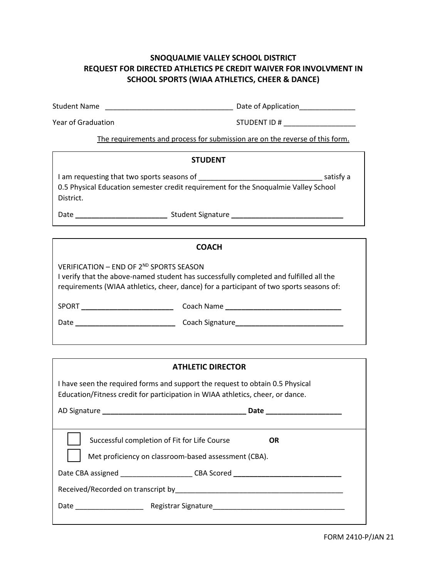## **SNOQUALMIE VALLEY SCHOOL DISTRICT REQUEST FOR DIRECTED ATHLETICS PE CREDIT WAIVER FOR INVOLVMENT IN SCHOOL SPORTS (WIAA ATHLETICS, CHEER & DANCE)**

Student Name \_\_\_\_\_\_\_\_\_\_\_\_\_\_\_\_\_\_\_\_\_\_\_\_\_\_\_\_\_\_\_\_ Date of Application\_\_\_\_\_\_\_\_\_\_\_\_\_\_

Year of Graduation example of STUDENT ID #

The requirements and process for submission are on the reverse of this form.

### **STUDENT**

I am requesting that two sports seasons of \_\_\_\_\_\_\_\_\_\_\_\_\_\_\_\_\_\_\_\_\_\_\_\_\_\_\_\_\_\_\_ satisfy a 0.5 Physical Education semester credit requirement for the Snoqualmie Valley School District.

Date **\_\_\_\_\_\_\_\_\_\_\_\_\_\_\_\_\_\_\_\_\_\_\_** Student Signature **\_\_\_\_\_\_\_\_\_\_\_\_\_\_\_\_\_\_\_\_\_\_\_\_\_\_\_\_**

#### **COACH**

VERIFICATION – END OF 2ND SPORTS SEASON

I verify that the above-named student has successfully completed and fulfilled all the requirements (WIAA athletics, cheer, dance) for a participant of two sports seasons of:

SPORT **\_\_\_\_\_\_\_\_\_\_\_\_\_\_\_\_\_\_\_\_\_\_\_** Coach Name **\_\_\_\_\_\_\_\_\_\_\_\_\_\_\_\_\_\_\_\_\_\_\_\_\_\_\_\_\_**

Date **\_\_\_\_\_\_\_\_\_\_\_\_\_\_\_\_\_\_\_\_\_\_\_\_\_** Coach Signature**\_\_\_\_\_\_\_\_\_\_\_\_\_\_\_\_\_\_\_\_\_\_\_\_\_\_\_**

| <b>ATHLETIC DIRECTOR</b>            |  |
|-------------------------------------|--|
| ms and support the request to obtai |  |

I have seen the required forms and support the request to obtain 0.5 Physical Education/Fitness credit for participation in WIAA athletics, cheer, or dance.

|                                                                                                      | Date      |
|------------------------------------------------------------------------------------------------------|-----------|
| Successful completion of Fit for Life Course<br>Met proficiency on classroom-based assessment (CBA). | <b>OR</b> |
| Date CBA assigned ______________________CBA Scored _____________________________                     |           |
|                                                                                                      |           |
|                                                                                                      |           |